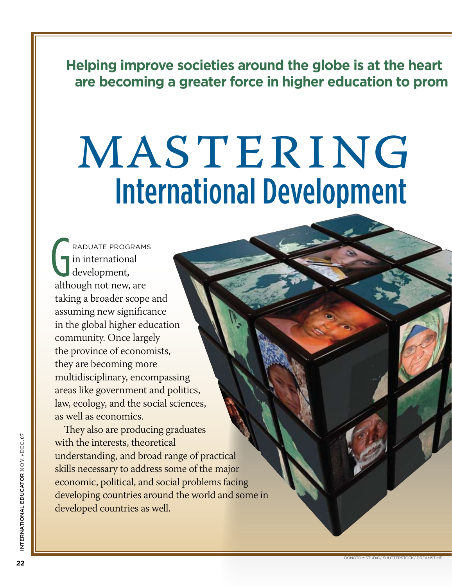**Helping improve societies around the globe is at the heart are becoming a greater force in higher education to prom** 

# MASTERING International Development

raduate programs in international development, although not new, are taking a broader scope and assuming new significance in the global higher education community. Once largely the province of economists, they are becoming more multidisciplinary, encompassing areas like government and politics, law, ecology, and the social sciences, as well as economics.

They also are producing graduates with the interests, theoretical understanding, and broad range of practical skills necessary to address some of the major economic, political, and social problems facing developing countries around the world and some in developed countries as well.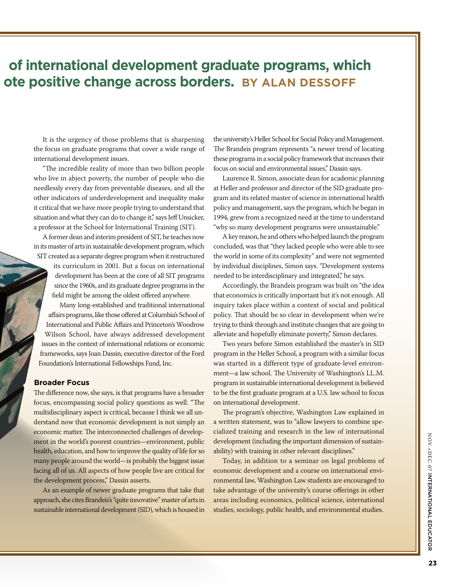# **of international development graduate programs, which ate positive change across borders. BY ALAN DESSOFF**

It is the urgency of those problems that is sharpening the focus on graduate programs that cover a wide range of international development issues.

"The incredible reality of more than two billion people who live in abject poverty, the number of people who die needlessly every day from preventable diseases, and all the other indicators of underdevelopment and inequality make it critical that we have more people trying to understand that situation and what they can do to change it," says Jeff Unsicker, a professor at the School for International Training (SIT).

A former dean and interim president of SIT, he teaches now in its master of arts in sustainable development program, which SIT created as a separate degree program when it restructured

> its curriculum in 2001. But a focus on international development has been at the core of all SIT programs since the 1960s, and its graduate degree programs in the field might be among the oldest offered anywhere.

Many long-established and traditional international affairs programs, like those offered at Columbia's School of International and Public Affairs and Princeton's Woodrow Wilson School, have always addressed development issues in the context of international relations or economic frameworks, says Joan Dassin, executive director of the Ford Foundation's International Fellowships Fund, Inc.

#### **Broader Focus**

The difference now, she says, is that programs have a broader focus, encompassing social policy questions as well. "The multidisciplinary aspect is critical, because I think we all understand now that economic development is not simply an economic matter. The interconnected challenges of development in the world's poorest countries—environment, public health, education, and how to improve the quality of life for so many people around the world—is probably the biggest issue facing all of us. All aspects of how people live are critical for the development process," Dassin asserts.

As an example of newer graduate programs that take that approach, she cites Brandeis's "quite innovative" master of arts in sustainable international development (SID), which is housed in

the university's Heller School for Social Policy and Management. The Brandeis program represents "a newer trend of locating these programs in a social policy framework that increases their focus on social and environmental issues," Dassin says.

Laurence R. Simon, associate dean for academic planning at Heller and professor and director of the SID graduate program and its related master of science in international health policy and management, says the program, which he began in 1994, grew from a recognized need at the time to understand "why so many development programs were unsustainable."

A key reason, he and others who helped launch the program concluded, was that "they lacked people who were able to see the world in some of its complexity" and were not segmented by individual disciplines, Simon says. "Development systems needed to be interdisciplinary and integrated," he says.

Accordingly, the Brandeis program was built on "the idea that economics is critically important but it's not enough. All inquiry takes place within a context of social and political policy. That should be so clear in development when we're trying to think through and institute changes that are going to alleviate and hopefully eliminate poverty," Simon declares.

Two years before Simon established the master's in SID program in the Heller School, a program with a similar focus was started in a different type of graduate-level environment—a law school. The University of Washington's LL.M. program in sustainable international development is believed to be the first graduate program at a U.S. law school to focus on international development.

The program's objective, Washington Law explained in a written statement, was to "allow lawyers to combine specialized training and research in the law of international development (including the important dimension of sustainability) with training in other relevant disciplines."

Today, in addition to a seminar on legal problems of economic development and a course on international environmental law, Washington Law students are encouraged to take advantage of the university's course offerings in other areas including economics, political science, international studies, sociology, public health, and environmental studies.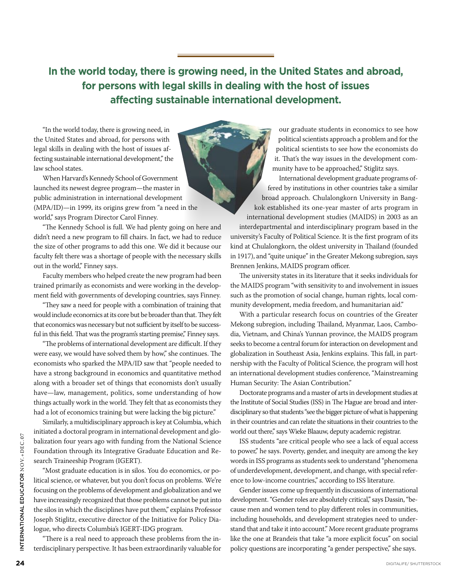**In the world today, there is growing need, in the United States and abroad, for persons with legal skills in dealing with the host of issues affecting sustainable international development.**

"In the world today, there is growing need, in the United States and abroad, for persons with legal skills in dealing with the host of issues affecting sustainable international development," the law school states.

When Harvard's Kennedy School of Government launched its newest degree program—the master in public administration in international development (MPA/ID)—in 1999, its origins grew from "a need in the world," says Program Director Carol Finney.

"The Kennedy School is full. We had plenty going on here and didn't need a new program to fill chairs. In fact, we had to reduce the size of other programs to add this one. We did it because our faculty felt there was a shortage of people with the necessary skills out in the world," Finney says.

Faculty members who helped create the new program had been trained primarily as economists and were working in the development field with governments of developing countries, says Finney.

"They saw a need for people with a combination of training that would include economics at its core but be broader than that. They felt that economics was necessary but not sufficient by itself to be successful in this field. That was the program's starting premise," Finney says.

"The problems of international development are difficult. If they were easy, we would have solved them by how," she continues. The economists who sparked the MPA/ID saw that "people needed to have a strong background in economics and quantitative method along with a broader set of things that economists don't usually have—law, management, politics, some understanding of how things actually work in the world. They felt that as economists they had a lot of economics training but were lacking the big picture."

Similarly, a multidisciplinary approach is key at Columbia, which initiated a doctoral program in international development and globalization four years ago with funding from the National Science Foundation through its Integrative Graduate Education and Research Traineeship Program (IGERT).

"Most graduate education is in silos. You do economics, or political science, or whatever, but you don't focus on problems. We're focusing on the problems of development and globalization and we have increasingly recognized that those problems cannot be put into the silos in which the disciplines have put them," explains Professor Joseph Stiglitz, executive director of the Initiative for Policy Dialogue, who directs Columbia's IGERT-IDG program.

"There is a real need to approach these problems from the interdisciplinary perspective. It has been extraordinarily valuable for

our graduate students in economics to see how political scientists approach a problem and for the political scientists to see how the economists do it. That's the way issues in the development community have to be approached," Stiglitz says.

International development graduate programs offered by institutions in other countries take a similar broad approach. Chulalongkorn University in Bangkok established its one-year master of arts program in international development studies (MAIDS) in 2003 as an

interdepartmental and interdisciplinary program based in the university's Faculty of Political Science. It is the first program of its kind at Chulalongkorn, the oldest university in Thailand (founded in 1917), and "quite unique" in the Greater Mekong subregion, says Brennen Jenkins, MAIDS program officer.

The university states in its literature that it seeks individuals for the MAIDS program "with sensitivity to and involvement in issues such as the promotion of social change, human rights, local community development, media freedom, and humanitarian aid."

With a particular research focus on countries of the Greater Mekong subregion, including Thailand, Myanmar, Laos, Cambodia, Vietnam, and China's Yunnan province, the MAIDS program seeks to become a central forum for interaction on development and globalization in Southeast Asia, Jenkins explains. This fall, in partnership with the Faculty of Political Science, the program will host an international development studies conference, "Mainstreaming Human Security: The Asian Contribution."

Doctorate programs and a master of arts in development studies at the Institute of Social Studies (ISS) in The Hague are broad and interdisciplinary so that students "see the bigger picture of what is happening in their countries and can relate the situations in their countries to the world out there," says Wieke Blaauw, deputy academic registrar.

ISS students "are critical people who see a lack of equal access to power," he says. Poverty, gender, and inequity are among the key words in ISS programs as students seek to understand "phenomena of underdevelopment, development, and change, with special reference to low-income countries," according to ISS literature.

Gender issues come up frequently in discussions of international development. "Gender roles are absolutely critical," says Dassin, "because men and women tend to play different roles in communities, including households, and development strategies need to understand that and take it into account." More recent graduate programs like the one at Brandeis that take "a more explicit focus" on social policy questions are incorporating "a gender perspective," she says.

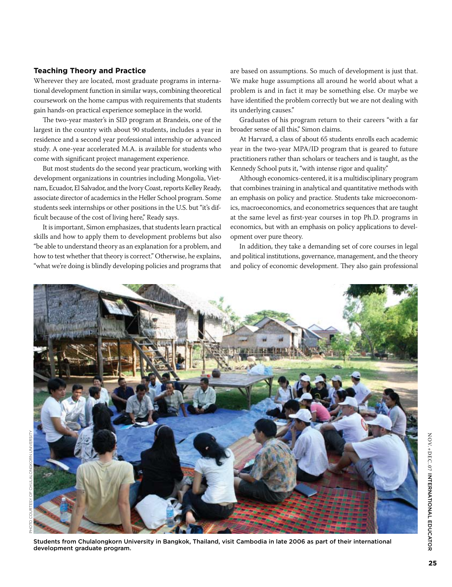### **Teaching Theory and Practice**

Wherever they are located, most graduate programs in international development function in similar ways, combining theoretical coursework on the home campus with requirements that students gain hands-on practical experience someplace in the world.

The two-year master's in SID program at Brandeis, one of the largest in the country with about 90 students, includes a year in residence and a second year professional internship or advanced study. A one-year accelerated M.A. is available for students who come with significant project management experience.

But most students do the second year practicum, working with development organizations in countries including Mongolia, Vietnam, Ecuador, El Salvador, and the Ivory Coast, reports Kelley Ready, associate director of academics in the Heller School program. Some students seek internships or other positions in the U.S. but "it's difficult because of the cost of living here," Ready says.

It is important, Simon emphasizes, that students learn practical skills and how to apply them to development problems but also "be able to understand theory as an explanation for a problem, and how to test whether that theory is correct." Otherwise, he explains, "what we're doing is blindly developing policies and programs that

are based on assumptions. So much of development is just that. We make huge assumptions all around he world about what a problem is and in fact it may be something else. Or maybe we have identified the problem correctly but we are not dealing with its underlying causes."

Graduates of his program return to their careers "with a far broader sense of all this," Simon claims.

At Harvard, a class of about 65 students enrolls each academic year in the two-year MPA/ID program that is geared to future practitioners rather than scholars or teachers and is taught, as the Kennedy School puts it, "with intense rigor and quality."

Although economics-centered, it is a multidisciplinary program that combines training in analytical and quantitative methods with an emphasis on policy and practice. Students take microeconomics, macroeconomics, and econometrics sequences that are taught at the same level as first-year courses in top Ph.D. programs in economics, but with an emphasis on policy applications to development over pure theory.

In addition, they take a demanding set of core courses in legal and political institutions, governance, management, and the theory and policy of economic development. They also gain professional



Students from Chulalongkorn University in Bangkok, Thailand, visit Cambodia in late 2006 as part of their international development graduate program.

N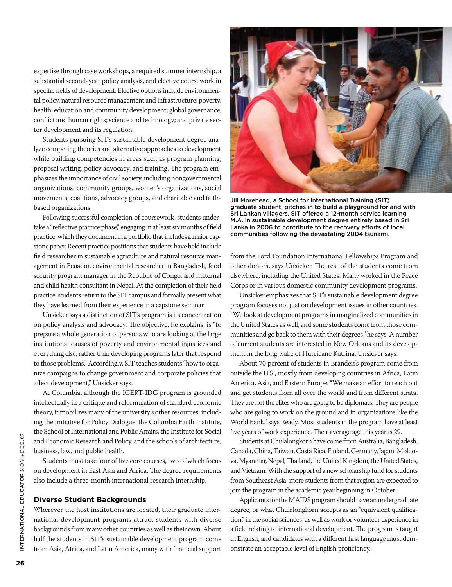expertise through case workshops, a required summer internship, a substantial second-year policy analysis, and elective coursework in specific fields of development. Elective options include environmental policy, natural resource management and infrastructure; poverty, health, education and community development; global governance, conflict and human rights; science and technology; and private sector development and its regulation.

Students pursuing SIT's sustainable development degree analyze competing theories and alternative approaches to development while building competencies in areas such as program planning, proposal writing, policy advocacy, and training. The program emphasizes the importance of civil society, including nongovernmental organizations, community groups, women's organizations, social movements, coalitions, advocacy groups, and charitable and faithbased organizations.

Following successful completion of coursework, students undertake a "reflective practice phase," engaging in at least six months of field practice, which they document in a portfolio that includes a major capstone paper. Recent practice positions that students have held include field researcher in sustainable agriculture and natural resource management in Ecuador, environmental researcher in Bangladesh, food security program manager in the Republic of Congo, and maternal and child health consultant in Nepal. At the completion of their field practice, students return to the SIT campus and formally present what they have learned from their experience in a capstone seminar.

Unsicker says a distinction of SIT's program is its concentration on policy analysis and advocacy. The objective, he explains, is "to prepare a whole generation of persons who are looking at the large institutional causes of poverty and environmental injustices and everything else, rather than developing programs later that respond to those problems." Accordingly, SIT teaches students "how to organize campaigns to change government and corporate policies that affect development," Unsicker says.

At Columbia, although the IGERT-IDG program is grounded intellectually in a critique and reformulation of standard economic theory, it mobilizes many of the university's other resources, including the Initiative for Policy Dialogue, the Columbia Earth Institute, the School of International and Public Affairs, the Institute for Social and Economic Research and Policy, and the schools of architecture, business, law, and public health.

Students must take four of five core courses, two of which focus on development in East Asia and Africa. The degree requirements also include a three-month international research internship.

#### **Diverse Student Backgrounds**

Wherever the host institutions are located, their graduate international development programs attract students with diverse backgrounds from many other countries as well as their own. About half the students in SIT's sustainable development program come from Asia, Africa, and Latin America, many with financial support



Jill Morehead, a School for International Training (SIT) graduate student, pitches in to build a playground for and with Sri Lankan villagers. SIT offered a 12-month service learning M.A. in sustainable development degree entirely based in Sri Lanka in 2006 to contribute to the recovery efforts of local communities following the devastating 2004 tsunami.

from the Ford Foundation International Fellowships Program and other donors, says Unsicker. The rest of the students come from elsewhere, including the United States. Many worked in the Peace Corps or in various domestic community development programs.

Unsicker emphasizes that SIT's sustainable development degree program focuses not just on development issues in other countries. "We look at development programs in marginalized communities in the United States as well, and some students come from those communities and go back to them with their degrees," he says. A number of current students are interested in New Orleans and its development in the long wake of Hurricane Katrina, Unsicker says.

About 70 percent of students in Brandeis's program come from outside the U.S., mostly from developing countries in Africa, Latin America, Asia, and Eastern Europe. "We make an effort to reach out and get students from all over the world and from different strata. They are not the elites who are going to be diplomats. They are people who are going to work on the ground and in organizations like the World Bank," says Ready. Most students in the program have at least five years of work experience. Their average age this year is 29.

Students at Chulalongkorn have come from Australia, Bangladesh, Canada, China, Taiwan, Costa Rica, Finland, Germany, Japan, Moldova, Myanmar, Nepal, Thailand, the United Kingdom, the United States, and Vietnam. With the support of a new scholarship fund for students from Southeast Asia, more students from that region are expected to join the program in the academic year beginning in October.

Applicants for the MAIDS program should have an undergraduate degree, or what Chulalongkorn accepts as an "equivalent qualification," in the social sciences, as well as work or volunteer experience in a field relating to international development. The program is taught in English, and candidates with a different first language must demonstrate an acceptable level of English proficiency.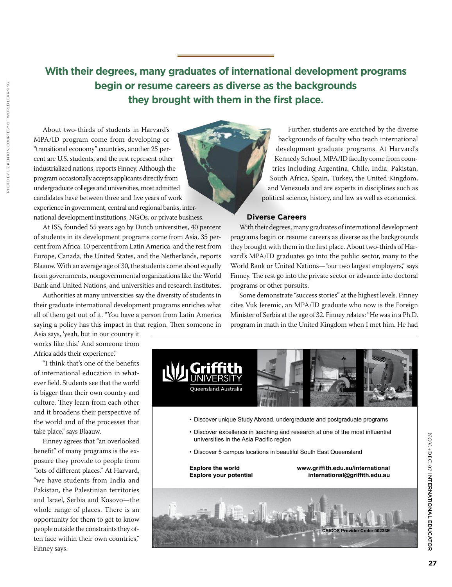#### **With their degrees, many graduates of international development programs 30/27(** 2&. +"\$&-\* 0& + / #\*% 0 &% + begin or resume careers as **they brought with them in the first place.**  $\mathbf{r} \in \mathbb{R}^{n \times d}$  , which is the set of  $\mathbb{R}^{d \times d}$  , where  $\mathbb{R}^{d \times d}$ %%-+(, **begin or resume careers as diverse as the backgrounds 73( ' ,( ' % ' ('(\$"' \$ ,(\$&**

About two-thirds of students in Harvard's **%' \*' ( \$'% ,' ,(\$ \$ ,( \*\$'** MPA/ID program come from developing or **(' \* ,( ) \$ % \* ' \$'' ' \$'%** "transitional economy" countries, another 25 per-**\* - ,( + \* ,(\$ )\* % % '&** cent are U.S. students, and the rest represent other industrialized nations, reports Finney. Although the program occasionally accepts applicants directly from undergraduate colleges and universities, most admitted candidates have between three and five years of work experience in government, central and regional banks, international development institutions, NGOs, or private business.

**73( \$ '\$ , %% '' ,(#) \*\$ '' ,( \$&**

**73( \$ % %'\$ \$%')% % % \$!(', )\***

At ISS, founded 55 years ago by Dutch universities, 40 percent of students in its development programs come from Asia, 35 percent from Africa, 10 percent from Latin America, and the rest from Europe, Canada, the United States, and the Netherlands, reports Blaauw. With an average age of 30, the students come about equally from governments, nongovernmental organizations like the World Bank and United Nations, and universities and research institutes.

Authorities at many universities say the diversity of students in their graduate international development programs enriches what all of them get out of it. "You have a person from Latin America saying a policy has this impact in that region. Then someone in **' \$ ' %(\$ '' ( \$'% \* \$&**

Asia says, 'yeah, but in our country it **)\$, )\$,\*\$"** works like this.' And someone from Africa adds their experience."

"I think that's one of the benefits of international education in whatever field. Students see that the world is bigger than their own country and culture. They learn from each other and it broadens their perspective of the world and of the processes that **) \$) ' '\$'% ,(** take place," says Blaauw. **) %' ' \$% , &**

Finney agrees that "an overlooked benefit" of many programs is the exposure they provide to people from "lots of different places." At Harvard, "we have students from India and Pakistan, the Palestinian territories and Israel, Serbia and Kosovo—the **73( \$) ' \$** whole range of places. There is an opportunity for them to get to know people outside the constraints they often face within their own countries," Finney says.

**Further, students are enriched by the diverse**  $\blacksquare$  backgrounds of faculty who teach international development graduate programs. At Harvard's *Xennedy School, MPA/ID faculty come from coun*tries including Argentina, Chile, India, Pakistan, **' %'"** South Africa, Spain, Turkey, the United Kingdom, **30/27(** 0 \* % % % -& - 0\* 2+( -.- 0\* % \*\$, and Venezuela and are experts in disciplines such as political science, history, and law as well as economics. **73( ( ) '\* ('\$% %% ' ) \* ,(\$&**

## $\bullet$  Diverse Careers

 $\mathcal{L}$ 

With their degrees, many graduates of international development **#% ' ' \$ ' \$ ', \*" ' %&** programs begin or resume careers as diverse as the backgrounds **,(\$ \$\$, %% ' ' +' \$' \$% ,(\$&** they brought with them in the first place. About two-thirds of Harvard's MPA/ID graduates go into the public sector, many to the World Bank or United Nations—"our two largest employers," says Finney. The rest go into the private sector or advance into doctoral programs or other pursuits.

 $\mathcal{L}^{\mathcal{L}}\left( \mathcal{L}^{\mathcal{L}}\right) =\mathcal{L}^{\mathcal{L}}\left( \mathcal{L}^{\mathcal{L}}\right)$ 

Some demonstrate "success stories" at the highest levels. Finney cites Vuk Jeremic, an MPA/ID graduate who now is the Foreign Minister of Serbia at the age of 32. Finney relates: "He was in a Ph.D. program in math in the United Kingdom when I met him. He had



N

OV.+DEC

 $.07$ 

:<br>ء

INTERNATIONAL

EDUC